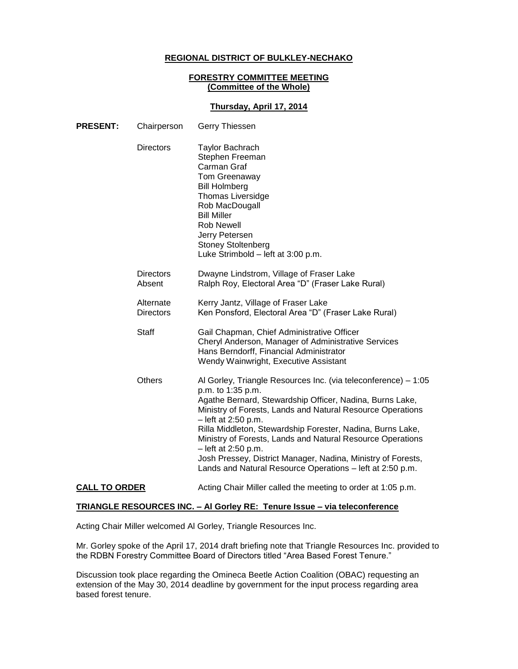### **REGIONAL DISTRICT OF BULKLEY-NECHAKO**

#### **FORESTRY COMMITTEE MEETING (Committee of the Whole)**

### **Thursday, April 17, 2014**

| <b>PRESENT:</b>      | Chairperson                   | Gerry Thiessen                                                                                                                                                                                                                                                                                                                                                                                                                                                                                                       |
|----------------------|-------------------------------|----------------------------------------------------------------------------------------------------------------------------------------------------------------------------------------------------------------------------------------------------------------------------------------------------------------------------------------------------------------------------------------------------------------------------------------------------------------------------------------------------------------------|
|                      | <b>Directors</b>              | <b>Taylor Bachrach</b><br>Stephen Freeman<br>Carman Graf<br>Tom Greenaway<br><b>Bill Holmberg</b><br><b>Thomas Liversidge</b><br>Rob MacDougall<br><b>Bill Miller</b><br><b>Rob Newell</b><br>Jerry Petersen<br><b>Stoney Stoltenberg</b><br>Luke Strimbold - left at 3:00 p.m.                                                                                                                                                                                                                                      |
|                      | <b>Directors</b><br>Absent    | Dwayne Lindstrom, Village of Fraser Lake<br>Ralph Roy, Electoral Area "D" (Fraser Lake Rural)                                                                                                                                                                                                                                                                                                                                                                                                                        |
|                      | Alternate<br><b>Directors</b> | Kerry Jantz, Village of Fraser Lake<br>Ken Ponsford, Electoral Area "D" (Fraser Lake Rural)                                                                                                                                                                                                                                                                                                                                                                                                                          |
|                      | Staff                         | Gail Chapman, Chief Administrative Officer<br>Cheryl Anderson, Manager of Administrative Services<br>Hans Berndorff, Financial Administrator<br>Wendy Wainwright, Executive Assistant                                                                                                                                                                                                                                                                                                                                |
|                      | <b>Others</b>                 | Al Gorley, Triangle Resources Inc. (via teleconference) - 1:05<br>p.m. to 1:35 p.m.<br>Agathe Bernard, Stewardship Officer, Nadina, Burns Lake,<br>Ministry of Forests, Lands and Natural Resource Operations<br>- left at 2:50 p.m.<br>Rilla Middleton, Stewardship Forester, Nadina, Burns Lake,<br>Ministry of Forests, Lands and Natural Resource Operations<br>- left at 2:50 p.m.<br>Josh Pressey, District Manager, Nadina, Ministry of Forests,<br>Lands and Natural Resource Operations - left at 2:50 p.m. |
| <b>CALL TO ORDER</b> |                               | Acting Chair Miller called the meeting to order at 1:05 p.m.                                                                                                                                                                                                                                                                                                                                                                                                                                                         |

### **TRIANGLE RESOURCES INC. – Al Gorley RE: Tenure Issue – via teleconference**

Acting Chair Miller welcomed Al Gorley, Triangle Resources Inc.

Mr. Gorley spoke of the April 17, 2014 draft briefing note that Triangle Resources Inc. provided to the RDBN Forestry Committee Board of Directors titled "Area Based Forest Tenure."

Discussion took place regarding the Omineca Beetle Action Coalition (OBAC) requesting an extension of the May 30, 2014 deadline by government for the input process regarding area based forest tenure.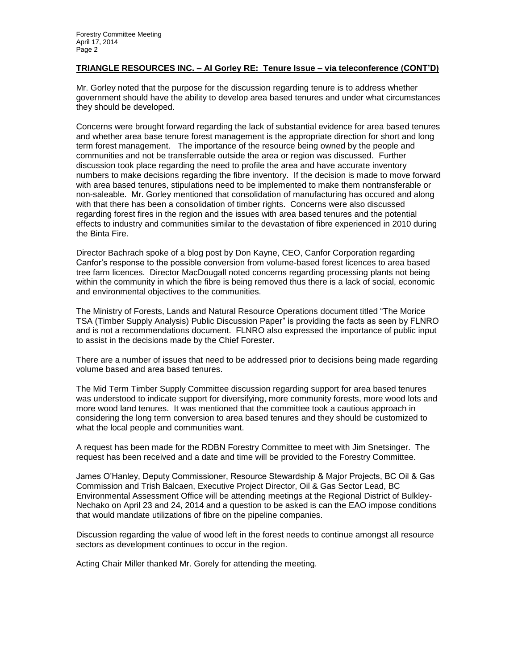#### **TRIANGLE RESOURCES INC. – Al Gorley RE: Tenure Issue – via teleconference (CONT'D)**

Mr. Gorley noted that the purpose for the discussion regarding tenure is to address whether government should have the ability to develop area based tenures and under what circumstances they should be developed.

Concerns were brought forward regarding the lack of substantial evidence for area based tenures and whether area base tenure forest management is the appropriate direction for short and long term forest management. The importance of the resource being owned by the people and communities and not be transferrable outside the area or region was discussed. Further discussion took place regarding the need to profile the area and have accurate inventory numbers to make decisions regarding the fibre inventory. If the decision is made to move forward with area based tenures, stipulations need to be implemented to make them nontransferable or non-saleable. Mr. Gorley mentioned that consolidation of manufacturing has occured and along with that there has been a consolidation of timber rights. Concerns were also discussed regarding forest fires in the region and the issues with area based tenures and the potential effects to industry and communities similar to the devastation of fibre experienced in 2010 during the Binta Fire.

Director Bachrach spoke of a blog post by Don Kayne, CEO, Canfor Corporation regarding Canfor's response to the possible conversion from volume-based forest licences to area based tree farm licences. Director MacDougall noted concerns regarding processing plants not being within the community in which the fibre is being removed thus there is a lack of social, economic and environmental objectives to the communities.

The Ministry of Forests, Lands and Natural Resource Operations document titled "The Morice TSA (Timber Supply Analysis) Public Discussion Paper" is providing the facts as seen by FLNRO and is not a recommendations document. FLNRO also expressed the importance of public input to assist in the decisions made by the Chief Forester.

There are a number of issues that need to be addressed prior to decisions being made regarding volume based and area based tenures.

The Mid Term Timber Supply Committee discussion regarding support for area based tenures was understood to indicate support for diversifying, more community forests, more wood lots and more wood land tenures. It was mentioned that the committee took a cautious approach in considering the long term conversion to area based tenures and they should be customized to what the local people and communities want.

A request has been made for the RDBN Forestry Committee to meet with Jim Snetsinger. The request has been received and a date and time will be provided to the Forestry Committee.

James O'Hanley, Deputy Commissioner, Resource Stewardship & Major Projects, BC Oil & Gas Commission and Trish Balcaen, Executive Project Director, Oil & Gas Sector Lead, BC Environmental Assessment Office will be attending meetings at the Regional District of Bulkley-Nechako on April 23 and 24, 2014 and a question to be asked is can the EAO impose conditions that would mandate utilizations of fibre on the pipeline companies.

Discussion regarding the value of wood left in the forest needs to continue amongst all resource sectors as development continues to occur in the region.

Acting Chair Miller thanked Mr. Gorely for attending the meeting.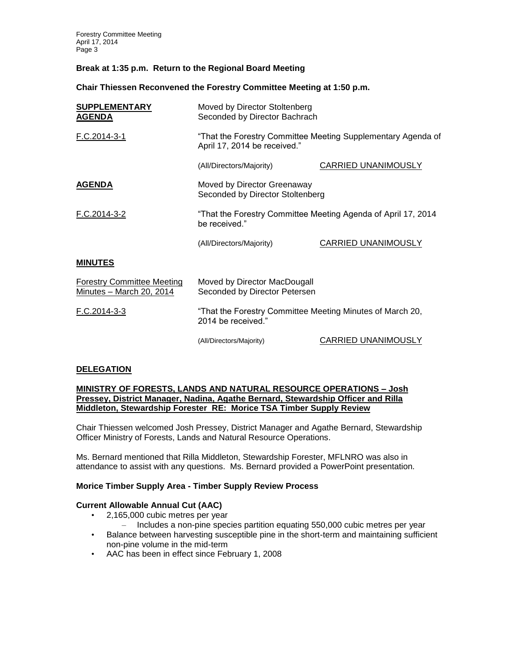Forestry Committee Meeting April 17, 2014 Page 3

### **Break at 1:35 p.m. Return to the Regional Board Meeting**

**Chair Thiessen Reconvened the Forestry Committee Meeting at 1:50 p.m.**

| <b>SUPPLEMENTARY</b><br><b>AGENDA</b>                         | Moved by Director Stoltenberg<br>Seconded by Director Bachrach                               |                            |  |
|---------------------------------------------------------------|----------------------------------------------------------------------------------------------|----------------------------|--|
| F.C.2014-3-1                                                  | "That the Forestry Committee Meeting Supplementary Agenda of<br>April 17, 2014 be received." |                            |  |
|                                                               | (All/Directors/Majority)                                                                     | <b>CARRIED UNANIMOUSLY</b> |  |
| <b>AGENDA</b>                                                 | Moved by Director Greenaway<br>Seconded by Director Stoltenberg                              |                            |  |
| F.C.2014-3-2                                                  | "That the Forestry Committee Meeting Agenda of April 17, 2014<br>be received."               |                            |  |
|                                                               | (All/Directors/Majority)                                                                     | <b>CARRIED UNANIMOUSLY</b> |  |
| <b>MINUTES</b>                                                |                                                                                              |                            |  |
| <b>Forestry Committee Meeting</b><br>Minutes - March 20, 2014 | Moved by Director MacDougall<br>Seconded by Director Petersen                                |                            |  |
| F.C.2014-3-3                                                  | "That the Forestry Committee Meeting Minutes of March 20,<br>2014 be received."              |                            |  |
|                                                               | (All/Directors/Majority)                                                                     | CARRIED UNANIMOUSLY        |  |

### **DELEGATION**

#### **MINISTRY OF FORESTS, LANDS AND NATURAL RESOURCE OPERATIONS – Josh Pressey, District Manager, Nadina, Agathe Bernard, Stewardship Officer and Rilla Middleton, Stewardship Forester RE: Morice TSA Timber Supply Review**

Chair Thiessen welcomed Josh Pressey, District Manager and Agathe Bernard, Stewardship Officer Ministry of Forests, Lands and Natural Resource Operations.

Ms. Bernard mentioned that Rilla Middleton, Stewardship Forester, MFLNRO was also in attendance to assist with any questions. Ms. Bernard provided a PowerPoint presentation.

### **Morice Timber Supply Area - Timber Supply Review Process**

### **Current Allowable Annual Cut (AAC)**

- 2,165,000 cubic metres per year
	- Includes a non-pine species partition equating 550,000 cubic metres per year
- Balance between harvesting susceptible pine in the short-term and maintaining sufficient non-pine volume in the mid-term
- AAC has been in effect since February 1, 2008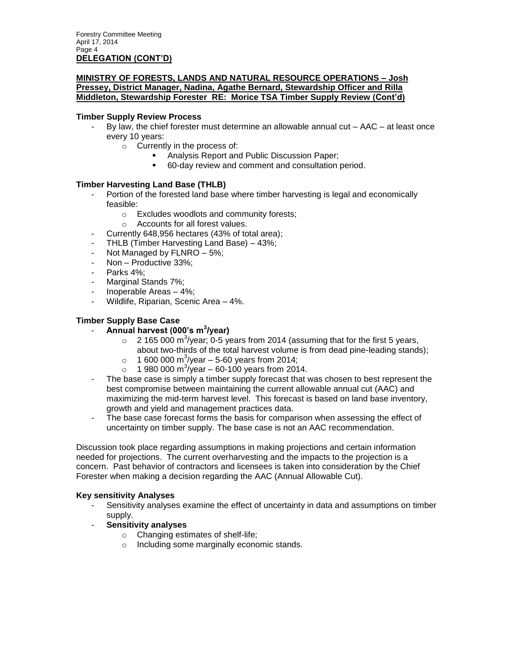### **MINISTRY OF FORESTS, LANDS AND NATURAL RESOURCE OPERATIONS – Josh Pressey, District Manager, Nadina, Agathe Bernard, Stewardship Officer and Rilla Middleton, Stewardship Forester RE: Morice TSA Timber Supply Review (Cont'd)**

### **Timber Supply Review Process**

- By law, the chief forester must determine an allowable annual cut AAC at least once every 10 years:
	- o Currently in the process of:
		- **Analysis Report and Public Discussion Paper;**
		- 60-day review and comment and consultation period.

### **Timber Harvesting Land Base (THLB)**

- Portion of the forested land base where timber harvesting is legal and economically feasible:
	- o Excludes woodlots and community forests;
	- o Accounts for all forest values.
- Currently 648,956 hectares (43% of total area);
- THLB (Timber Harvesting Land Base) 43%;
- Not Managed by  $FLNRO 5\%;$
- Non Productive 33%;
- Parks 4%:
- Marginal Stands 7%;
- Inoperable Areas 4%;
- Wildlife, Riparian, Scenic Area 4%.

### **Timber Supply Base Case**

- **Annual harvest (000's m<sup>3</sup> /year)**
	- $\circ$  2 165 000 m<sup>3</sup>/year; 0-5 years from 2014 (assuming that for the first 5 years, about two-thirds of the total harvest volume is from dead pine-leading stands);
	- $\circ$  1 600 000 m<sup>3</sup>/year 5-60 years from 2014;
	- $\circ$  1 980 000 m<sup>3</sup>/year 60-100 years from 2014.
- The base case is simply a timber supply forecast that was chosen to best represent the best compromise between maintaining the current allowable annual cut (AAC) and maximizing the mid-term harvest level. This forecast is based on land base inventory, growth and yield and management practices data.
- The base case forecast forms the basis for comparison when assessing the effect of uncertainty on timber supply. The base case is not an AAC recommendation.

Discussion took place regarding assumptions in making projections and certain information needed for projections. The current overharvesting and the impacts to the projection is a concern. Past behavior of contractors and licensees is taken into consideration by the Chief Forester when making a decision regarding the AAC (Annual Allowable Cut).

### **Key sensitivity Analyses**

- Sensitivity analyses examine the effect of uncertainty in data and assumptions on timber supply.
- **Sensitivity analyses**
	- o Changing estimates of shelf-life;
	- o Including some marginally economic stands.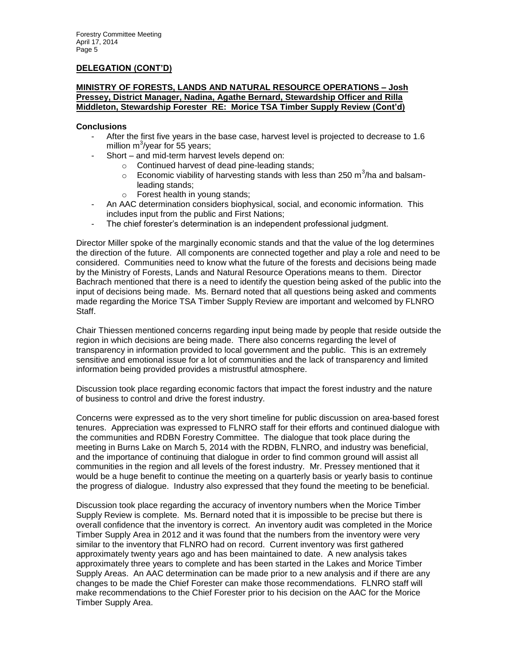#### **DELEGATION (CONT'D)**

#### **MINISTRY OF FORESTS, LANDS AND NATURAL RESOURCE OPERATIONS – Josh Pressey, District Manager, Nadina, Agathe Bernard, Stewardship Officer and Rilla Middleton, Stewardship Forester RE: Morice TSA Timber Supply Review (Cont'd)**

#### **Conclusions**

- After the first five years in the base case, harvest level is projected to decrease to 1.6 million m $3$ /year for 55 years;
- Short and mid-term harvest levels depend on:
	- o Continued harvest of dead pine-leading stands;
	- $\circ$  Economic viability of harvesting stands with less than 250 m<sup>3</sup>/ha and balsamleading stands;
	- o Forest health in young stands;
- An AAC determination considers biophysical, social, and economic information. This includes input from the public and First Nations;
- The chief forester's determination is an independent professional judgment.

Director Miller spoke of the marginally economic stands and that the value of the log determines the direction of the future. All components are connected together and play a role and need to be considered. Communities need to know what the future of the forests and decisions being made by the Ministry of Forests, Lands and Natural Resource Operations means to them. Director Bachrach mentioned that there is a need to identify the question being asked of the public into the input of decisions being made. Ms. Bernard noted that all questions being asked and comments made regarding the Morice TSA Timber Supply Review are important and welcomed by FLNRO Staff.

Chair Thiessen mentioned concerns regarding input being made by people that reside outside the region in which decisions are being made. There also concerns regarding the level of transparency in information provided to local government and the public. This is an extremely sensitive and emotional issue for a lot of communities and the lack of transparency and limited information being provided provides a mistrustful atmosphere.

Discussion took place regarding economic factors that impact the forest industry and the nature of business to control and drive the forest industry.

Concerns were expressed as to the very short timeline for public discussion on area-based forest tenures. Appreciation was expressed to FLNRO staff for their efforts and continued dialogue with the communities and RDBN Forestry Committee. The dialogue that took place during the meeting in Burns Lake on March 5, 2014 with the RDBN, FLNRO, and industry was beneficial, and the importance of continuing that dialogue in order to find common ground will assist all communities in the region and all levels of the forest industry. Mr. Pressey mentioned that it would be a huge benefit to continue the meeting on a quarterly basis or yearly basis to continue the progress of dialogue. Industry also expressed that they found the meeting to be beneficial.

Discussion took place regarding the accuracy of inventory numbers when the Morice Timber Supply Review is complete. Ms. Bernard noted that it is impossible to be precise but there is overall confidence that the inventory is correct. An inventory audit was completed in the Morice Timber Supply Area in 2012 and it was found that the numbers from the inventory were very similar to the inventory that FLNRO had on record. Current inventory was first gathered approximately twenty years ago and has been maintained to date. A new analysis takes approximately three years to complete and has been started in the Lakes and Morice Timber Supply Areas. An AAC determination can be made prior to a new analysis and if there are any changes to be made the Chief Forester can make those recommendations. FLNRO staff will make recommendations to the Chief Forester prior to his decision on the AAC for the Morice Timber Supply Area.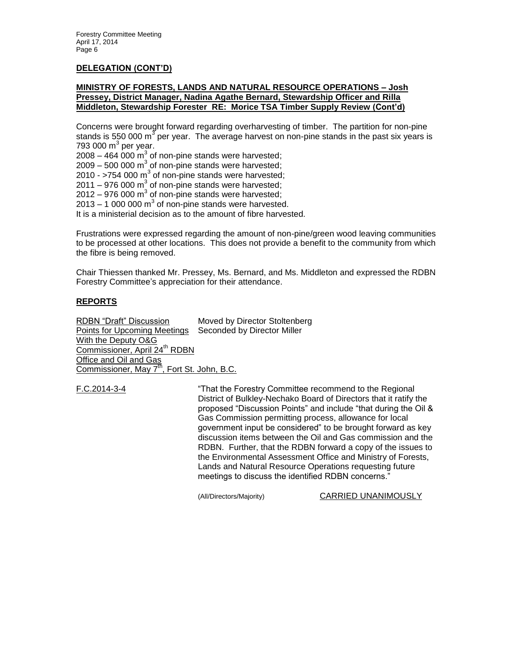#### **DELEGATION (CONT'D)**

#### **MINISTRY OF FORESTS, LANDS AND NATURAL RESOURCE OPERATIONS – Josh Pressey, District Manager, Nadina Agathe Bernard, Stewardship Officer and Rilla Middleton, Stewardship Forester RE: Morice TSA Timber Supply Review (Cont'd)**

Concerns were brought forward regarding overharvesting of timber. The partition for non-pine stands is 550 000 m<sup>3</sup> per year. The average harvest on non-pine stands in the past six years is 793 000 m $^3$  per year.

2008 – 464 000  $\textsf{m}^{3}$  of non-pine stands were harvested;

2009 – 500 000 m $^3$  of non-pine stands were harvested;

2010 - >754 000 m $3$  of non-pine stands were harvested;

2011 – 976 000  $\text{m}^3$  of non-pine stands were harvested;

2012 – 976 000 m $^3$  of non-pine stands were harvested;

 $2013 - 1000000 \text{ m}^3$  of non-pine stands were harvested.

It is a ministerial decision as to the amount of fibre harvested.

Frustrations were expressed regarding the amount of non-pine/green wood leaving communities to be processed at other locations. This does not provide a benefit to the community from which the fibre is being removed.

Chair Thiessen thanked Mr. Pressey, Ms. Bernard, and Ms. Middleton and expressed the RDBN Forestry Committee's appreciation for their attendance.

### **REPORTS**

RDBN "Draft" Discussion Moved by Director Stoltenberg Points for Upcoming Meetings Seconded by Director Miller With the Deputy O&G Commissioner, April 24<sup>th</sup> RDBN **Office and Oil and Gas** Commissioner, May 7<sup>th</sup>, Fort St. John, B.C.

F.C.2014-3-4 "That the Forestry Committee recommend to the Regional District of Bulkley-Nechako Board of Directors that it ratify the proposed "Discussion Points" and include "that during the Oil & Gas Commission permitting process, allowance for local government input be considered" to be brought forward as key discussion items between the Oil and Gas commission and the RDBN. Further, that the RDBN forward a copy of the issues to the Environmental Assessment Office and Ministry of Forests, Lands and Natural Resource Operations requesting future meetings to discuss the identified RDBN concerns."

(All/Directors/Majority) CARRIED UNANIMOUSLY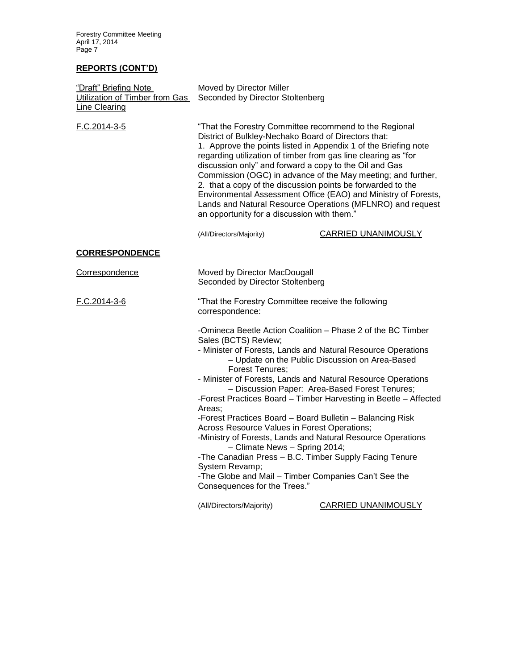Forestry Committee Meeting April 17, 2014 Page 7

# **REPORTS (CONT'D)**

| "Draft" Briefing Note<br>Utilization of Timber from Gas<br>Line Clearing | Moved by Director Miller<br>Seconded by Director Stoltenberg                                                                                                                                                                                                                                                                                                                                                                                                                                                                                                                                                                                                         |                                                                                                                                                                                              |  |
|--------------------------------------------------------------------------|----------------------------------------------------------------------------------------------------------------------------------------------------------------------------------------------------------------------------------------------------------------------------------------------------------------------------------------------------------------------------------------------------------------------------------------------------------------------------------------------------------------------------------------------------------------------------------------------------------------------------------------------------------------------|----------------------------------------------------------------------------------------------------------------------------------------------------------------------------------------------|--|
| F.C.2014-3-5                                                             | "That the Forestry Committee recommend to the Regional<br>District of Bulkley-Nechako Board of Directors that:<br>1. Approve the points listed in Appendix 1 of the Briefing note<br>regarding utilization of timber from gas line clearing as "for<br>discussion only" and forward a copy to the Oil and Gas<br>Commission (OGC) in advance of the May meeting; and further,<br>2. that a copy of the discussion points be forwarded to the<br>Environmental Assessment Office (EAO) and Ministry of Forests,<br>Lands and Natural Resource Operations (MFLNRO) and request<br>an opportunity for a discussion with them."                                          |                                                                                                                                                                                              |  |
|                                                                          | (All/Directors/Majority)                                                                                                                                                                                                                                                                                                                                                                                                                                                                                                                                                                                                                                             | <b>CARRIED UNANIMOUSLY</b>                                                                                                                                                                   |  |
| <b>CORRESPONDENCE</b>                                                    |                                                                                                                                                                                                                                                                                                                                                                                                                                                                                                                                                                                                                                                                      |                                                                                                                                                                                              |  |
| Correspondence                                                           | Moved by Director MacDougall<br>Seconded by Director Stoltenberg                                                                                                                                                                                                                                                                                                                                                                                                                                                                                                                                                                                                     |                                                                                                                                                                                              |  |
| F.C.2014-3-6                                                             | "That the Forestry Committee receive the following<br>correspondence:                                                                                                                                                                                                                                                                                                                                                                                                                                                                                                                                                                                                |                                                                                                                                                                                              |  |
|                                                                          | -Omineca Beetle Action Coalition - Phase 2 of the BC Timber<br>Sales (BCTS) Review;<br>- Minister of Forests, Lands and Natural Resource Operations<br><b>Forest Tenures;</b><br>- Minister of Forests, Lands and Natural Resource Operations<br>Areas:<br>-Forest Practices Board - Board Bulletin - Balancing Risk<br>Across Resource Values in Forest Operations;<br>-Ministry of Forests, Lands and Natural Resource Operations<br>- Climate News - Spring 2014;<br>-The Canadian Press - B.C. Timber Supply Facing Tenure<br>System Revamp;<br>-The Globe and Mail - Timber Companies Can't See the<br>Consequences for the Trees."<br>(All/Directors/Majority) | - Update on the Public Discussion on Area-Based<br>- Discussion Paper: Area-Based Forest Tenures;<br>-Forest Practices Board - Timber Harvesting in Beetle - Affected<br>CARRIED UNANIMOUSLY |  |